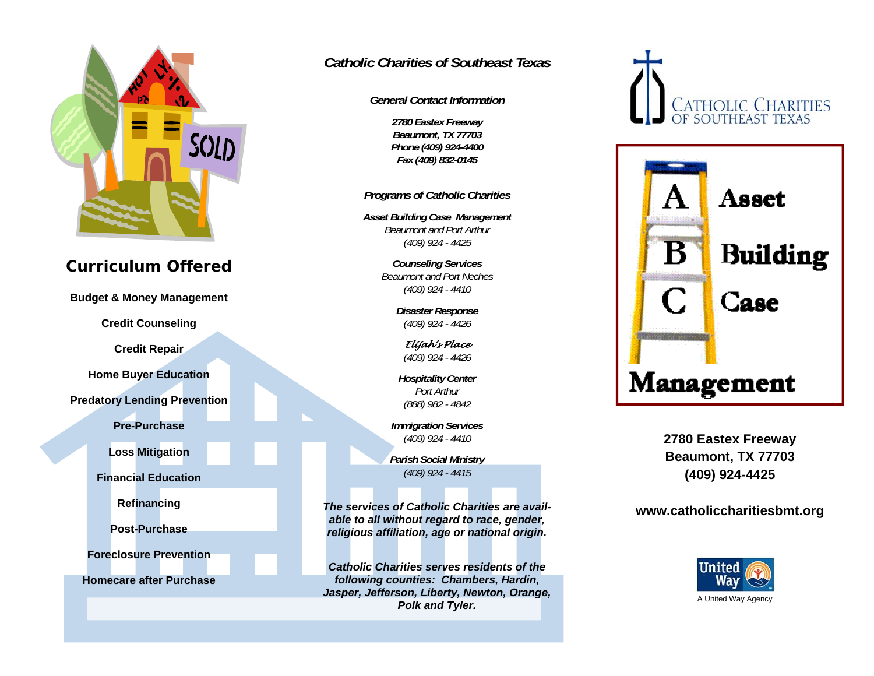

# **Curriculum Offered**

**Budget & Money Management** 

**Credit Counseling** 

**Credit Repair** 

**Home Buyer Education** 

**Predatory Lending Prevention** 

**Pre-Purchase** 

**Loss Mitigation** 

**Financial Education** 

**Refinancing** 

**Post-Purchase** 

**Foreclosure Prevention** 

**Homecare after Purchase** 

## *Catholic Charities of Southeast Texas*

*General Contact Information* 

*2780 Eastex Freeway Beaumont, TX 77703 Phone (409) 924-4400 Fax (409) 832-0145* 

*Programs of Catholic Charities* 

*Asset Building Case Management Beaumont and Port Arthur (409) 924 - 4425*

> *Counseling Services Beaumont and Port Neches (409) 924 - 4410*

> > *Disaster Response (409) 924 - 4426*

*Elijah's Place (409) 924 - 4426* 

*Hospitality Center Port Arthur (888) 982 - 4842* 

*Immigration Services (409) 924 - 4410* 

*Parish Social Ministry (409) 924 - 4415* 

*The services of Catholic Charities are available to all without regard to race, gender, religious affiliation, age or national origin.* 

*Catholic Charities serves residents of the following counties: Chambers, Hardin, Jasper, Jefferson, Liberty, Newton, Orange, Polk and Tyler.* 





**2780 Eastex Freeway Beaumont, TX 77703 (409) 924-4425** 

#### **www.catholiccharitiesbmt.org**